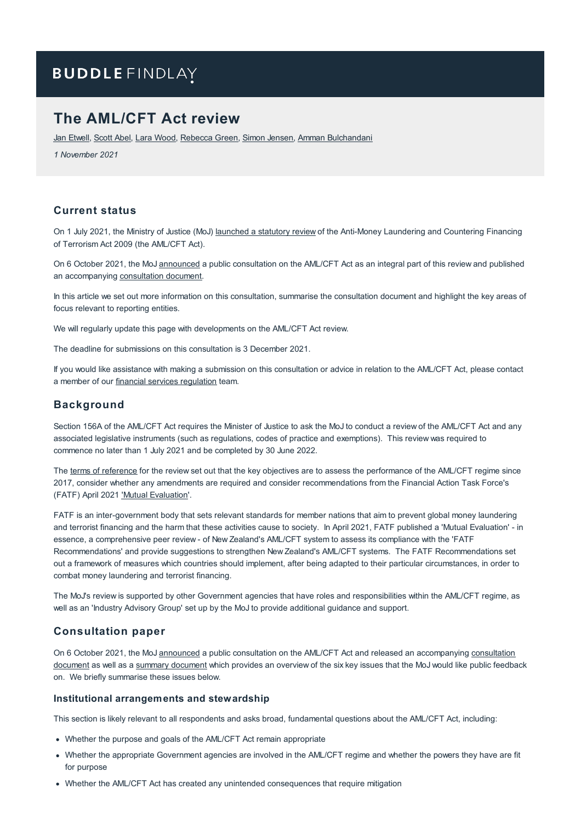# **BUDDLE FINDLAY**

# **The AML/CFT Act review**

Jan [Etwell](https://www.buddlefindlay.com/people/jan-etwell/), [Scott](https://www.buddlefindlay.com/people/scott-abel/) Abel, Lara [Wood](https://www.buddlefindlay.com/people/lara-wood/), [Rebecca](https://www.buddlefindlay.com/people/rebecca-green/) Green, Simon [Jensen](https://www.buddlefindlay.com/people/simon-jensen/), Amman [Bulchandani](https://www.buddlefindlay.com/people/amman-bulchandani/)

*1 November 2021*

## **Current status**

On 1 July 2021, the Ministry of Justice (MoJ) [launched](https://www.justice.govt.nz/justice-sector-policy/key-initiatives/aml-cft/aml-cft-review/) a statutory review of the Anti-Money Laundering and Countering Financing of Terrorism Act 2009 (the AML/CFT Act).

On 6 October 2021, the MoJ [announced](https://consultations.justice.govt.nz/policy/aml-cft-review/) a public consultation on the AML/CFT Act as an integral part of this review and published an accompanying [consultation](https://consultations.justice.govt.nz/policy/aml-cft-review/user_uploads/amlcft-statutory-review-consultation-document.pdf) document.

In this article we set out more information on this consultation, summarise the consultation document and highlight the key areas of focus relevant to reporting entities.

We will regularly update this page with developments on the AML/CFT Act review.

The deadline for submissions on this consultation is 3 December 2021.

If you would like assistance with making a submission on this consultation or advice in relation to the AML/CFT Act, please contact a member of our financial services [regulation](https://www.buddlefindlay.com/expertise/financial-services-regulation/) team.

### **Background**

Section 156A of the AML/CFT Act requires the Minister of Justice to ask the MoJ to conduct a review of the AML/CFT Act and any associated legislative instruments (such as regulations, codes of practice and exemptions). This review was required to commence no later than 1 July 2021 and be completed by 30 June 2022.

The terms of [reference](https://www.justice.govt.nz/assets/Documents/Publications/Terms-of-Reference-for-Stat-Review-Final.pdf) for the review set out that the key objectives are to assess the performance of the AML/CFT regime since 2017, consider whether any amendments are required and consider recommendations from the Financial Action Task Force's (FATF) April 2021 'Mutual [Evaluation](https://www.fatf-gafi.org/publications/mutualevaluations/documents/mer-new-zealand-2021.html)'.

FATF is an inter-government body that sets relevant standards for member nations that aim to prevent global money laundering and terrorist financing and the harm that these activities cause to society. In April 2021, FATF published a 'Mutual Evaluation' - in essence, a comprehensive peer review - of New Zealand's AML/CFT system to assess its compliance with the 'FATF Recommendations' and provide suggestions to strengthen New Zealand's AML/CFT systems. The FATF Recommendations set out a framework of measures which countries should implement, after being adapted to their particular circumstances, in order to combat money laundering and terrorist financing.

The MoJ's review is supported by other Government agencies that have roles and responsibilities within the AML/CFT regime, as well as an 'Industry Advisory Group' set up by the MoJ to provide additional guidance and support.

#### **Consultation paper**

On 6 October 2021, the MoJ [announced](https://consultations.justice.govt.nz/policy/aml-cft-review/) a public consultation on the AML/CFT Act and released an [accompanying](https://consultations.justice.govt.nz/policy/aml-cft-review/user_uploads/amlcft-statutory-review-consultation-document.pdf) consultation [document](https://consultations.justice.govt.nz/policy/aml-cft-review/user_uploads/amlcft-statutory-review-summary-document.pdf) as well as a summary document which provides an overview of the six key issues that the MoJ would like public feedback on. We briefly summarise these issues below.

#### **Institutional arrangements and stewardship**

This section is likely relevant to all respondents and asks broad, fundamental questions about the AML/CFT Act, including:

- Whether the purpose and goals of the AML/CFT Act remain appropriate
- Whether the appropriate Government agencies are involved in the AML/CFT regime and whether the powers they have are fit for purpose
- Whether the AML/CFT Act has created any unintended consequences that require mitigation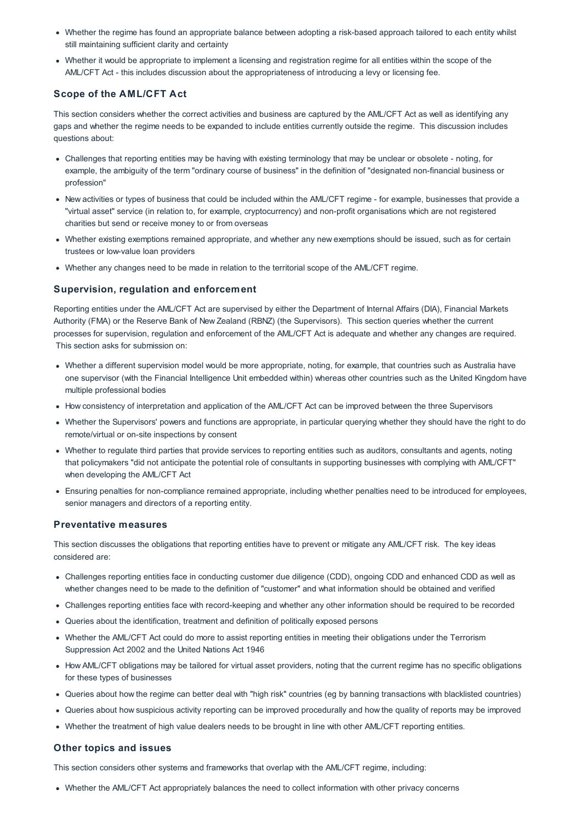- Whether the regime has found an appropriate balance between adopting a risk-based approach tailored to each entity whilst still maintaining sufficient clarity and certainty
- Whether it would be appropriate to implement a licensing and registration regime for all entities within the scope of the AML/CFT Act - this includes discussion about the appropriateness of introducing a levy or licensing fee.

### **Scope of the AML/CFT Act**

This section considers whether the correct activities and business are captured by the AML/CFT Act as well as identifying any gaps and whether the regime needs to be expanded to include entities currently outside the regime. This discussion includes questions about:

- Challenges that reporting entities may be having with existing terminology that may be unclear or obsolete noting, for example, the ambiguity of the term "ordinary course of business" in the definition of "designated non-financial business or profession"
- New activities or types of business that could be included within the AML/CFT regime for example, businesses that provide a "virtual asset" service (in relation to, for example, cryptocurrency) and non-profit organisations which are not registered charities but send or receive money to or from overseas
- Whether existing exemptions remained appropriate, and whether any new exemptions should be issued, such as for certain trustees or low-value loan providers
- Whether any changes need to be made in relation to the territorial scope of the AML/CFT regime.

#### **Supervision, regulation and enforcement**

Reporting entities under the AML/CFT Act are supervised by either the Department of Internal Affairs (DIA), Financial Markets Authority (FMA) or the Reserve Bank of New Zealand (RBNZ) (the Supervisors). This section queries whether the current processes for supervision, regulation and enforcement of the AML/CFT Act is adequate and whether any changes are required. This section asks for submission on:

- Whether a different supervision model would be more appropriate, noting, for example, that countries such as Australia have one supervisor (with the Financial Intelligence Unit embedded within) whereas other countries such as the United Kingdom have multiple professional bodies
- How consistency of interpretation and application of the AML/CFT Act can be improved between the three Supervisors
- Whether the Supervisors' powers and functions are appropriate, in particular querying whether they should have the right to do remote/virtual or on-site inspections by consent
- Whether to regulate third parties that provide services to reporting entities such as auditors, consultants and agents, noting that policymakers "did not anticipate the potential role of consultants in supporting businesses with complying with AML/CFT" when developing the AML/CFT Act
- Ensuring penalties for non-compliance remained appropriate, including whether penalties need to be introduced for employees, senior managers and directors of a reporting entity.

#### **Preventative measures**

This section discusses the obligations that reporting entities have to prevent or mitigate any AML/CFT risk. The key ideas considered are:

- Challenges reporting entities face in conducting customer due diligence (CDD), ongoing CDD and enhanced CDD as well as whether changes need to be made to the definition of "customer" and what information should be obtained and verified
- Challenges reporting entities face with record-keeping and whether any other information should be required to be recorded
- Queries about the identification, treatment and definition of politically exposed persons
- Whether the AML/CFT Act could do more to assist reporting entities in meeting their obligations under the Terrorism Suppression Act 2002 and the United Nations Act 1946
- How AML/CFT obligations may be tailored for virtual asset providers, noting that the current regime has no specific obligations for these types of businesses
- Queries about how the regime can better deal with "high risk" countries (eg by banning transactions with blacklisted countries)
- Queries about how suspicious activity reporting can be improved procedurally and how the quality of reports may be improved
- Whether the treatment of high value dealers needs to be brought in line with other AML/CFT reporting entities.

#### **Other topics and issues**

This section considers other systems and frameworks that overlap with the AML/CFT regime, including:

Whether the AML/CFT Act appropriately balances the need to collect information with other privacy concerns